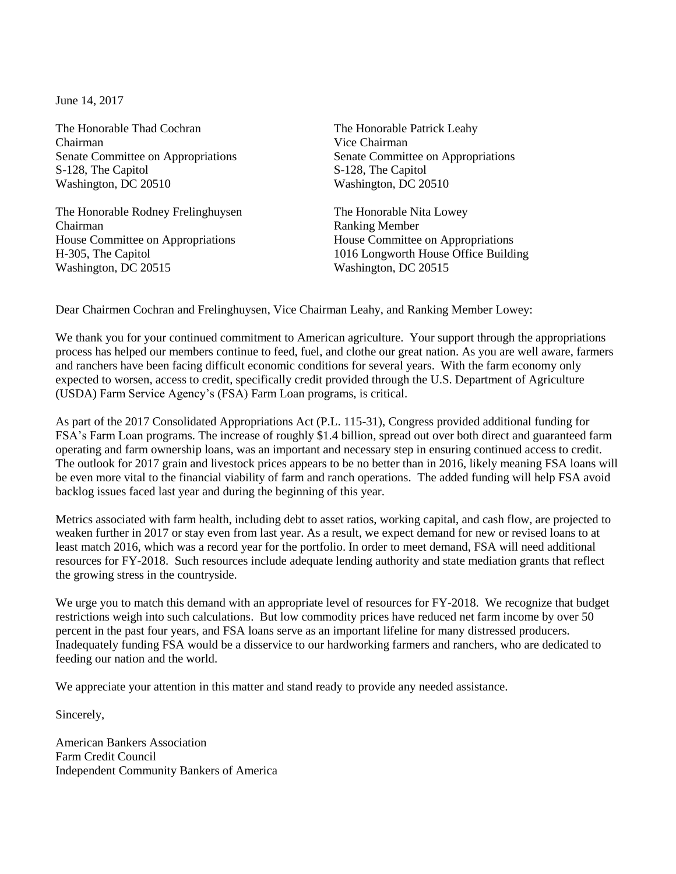June 14, 2017

The Honorable Thad Cochran The Honorable Patrick Leahy Chairman Vice Chairman S-128, The Capitol S-128, The Capitol Washington, DC 20510 Washington, DC 20510

The Honorable Rodney Frelinghuysen The Honorable Nita Lowey Chairman Ranking Member House Committee on Appropriations House Committee on Appropriations Washington, DC 20515 Washington, DC 20515

Senate Committee on Appropriations Senate Committee on Appropriations

H-305, The Capitol 1016 Longworth House Office Building

Dear Chairmen Cochran and Frelinghuysen, Vice Chairman Leahy, and Ranking Member Lowey:

We thank you for your continued commitment to American agriculture. Your support through the appropriations process has helped our members continue to feed, fuel, and clothe our great nation. As you are well aware, farmers and ranchers have been facing difficult economic conditions for several years. With the farm economy only expected to worsen, access to credit, specifically credit provided through the U.S. Department of Agriculture (USDA) Farm Service Agency's (FSA) Farm Loan programs, is critical.

As part of the 2017 Consolidated Appropriations Act (P.L. 115-31), Congress provided additional funding for FSA's Farm Loan programs. The increase of roughly \$1.4 billion, spread out over both direct and guaranteed farm operating and farm ownership loans, was an important and necessary step in ensuring continued access to credit. The outlook for 2017 grain and livestock prices appears to be no better than in 2016, likely meaning FSA loans will be even more vital to the financial viability of farm and ranch operations. The added funding will help FSA avoid backlog issues faced last year and during the beginning of this year.

Metrics associated with farm health, including debt to asset ratios, working capital, and cash flow, are projected to weaken further in 2017 or stay even from last year. As a result, we expect demand for new or revised loans to at least match 2016, which was a record year for the portfolio. In order to meet demand, FSA will need additional resources for FY-2018. Such resources include adequate lending authority and state mediation grants that reflect the growing stress in the countryside.

We urge you to match this demand with an appropriate level of resources for FY-2018. We recognize that budget restrictions weigh into such calculations. But low commodity prices have reduced net farm income by over 50 percent in the past four years, and FSA loans serve as an important lifeline for many distressed producers. Inadequately funding FSA would be a disservice to our hardworking farmers and ranchers, who are dedicated to feeding our nation and the world.

We appreciate your attention in this matter and stand ready to provide any needed assistance.

Sincerely,

American Bankers Association Farm Credit Council Independent Community Bankers of America